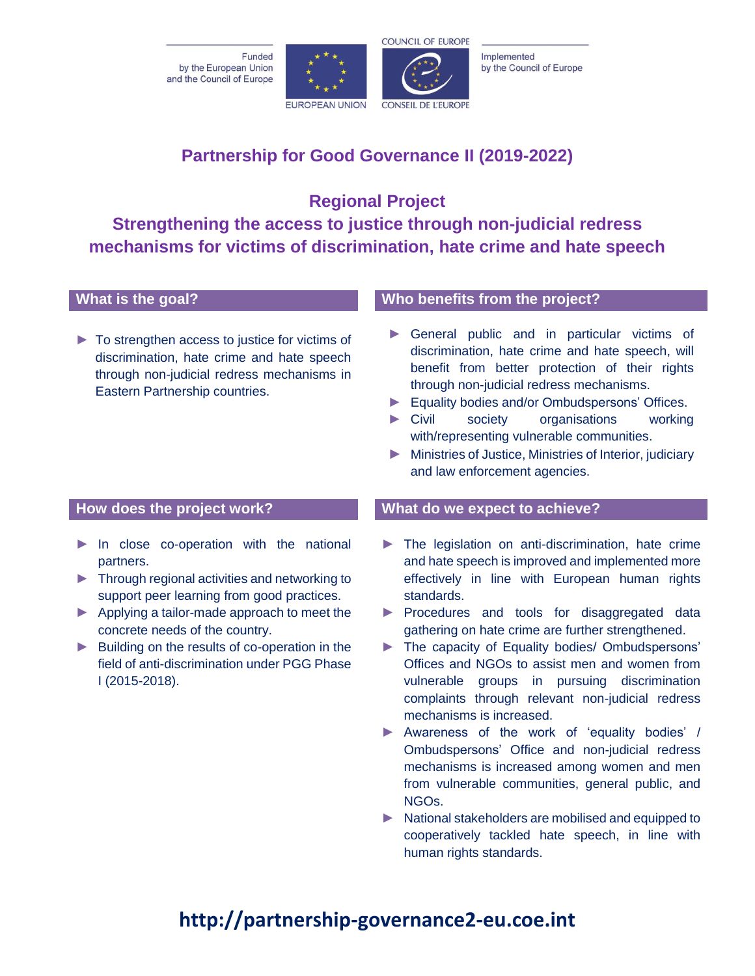Funded by the European Union and the Council of Europe





Implemented by the Council of Europe

**Partnership for Good Governance II (2019-2022)**

**Regional Project Strengthening the access to justice through non-judicial redress mechanisms for victims of discrimination, hate crime and hate speech** 

► To strengthen access to justice for victims of discrimination, hate crime and hate speech through non-judicial redress mechanisms in Eastern Partnership countries.

- ► In close co-operation with the national partners.
- ► Through regional activities and networking to support peer learning from good practices.
- ► Applying a tailor-made approach to meet the concrete needs of the country.
- ► Building on the results of co-operation in the field of anti-discrimination under PGG Phase I (2015-2018).

# **What is the goal? Who benefits from the project?**

- ► General public and in particular victims of discrimination, hate crime and hate speech, will benefit from better protection of their rights through non-judicial redress mechanisms.
- ► Equality bodies and/or Ombudspersons' Offices.
- ► Civil society organisations working with/representing vulnerable communities.
- ► Ministries of Justice, Ministries of Interior, judiciary and law enforcement agencies.

## **How does the project work? What do we expect to achieve?**

- ► The legislation on anti-discrimination, hate crime and hate speech is improved and implemented more effectively in line with European human rights standards.
- ► Procedures and tools for disaggregated data gathering on hate crime are further strengthened.
- ► The capacity of Equality bodies/ Ombudspersons' Offices and NGOs to assist men and women from vulnerable groups in pursuing discrimination complaints through relevant non-judicial redress mechanisms is increased.
- ► Awareness of the work of 'equality bodies' / Ombudspersons' Office and non-judicial redress mechanisms is increased among women and men from vulnerable communities, general public, and NGOs.
- ► National stakeholders are mobilised and equipped to cooperatively tackled hate speech, in line with human rights standards.

# **http://partnership-governance2-eu.coe.int**